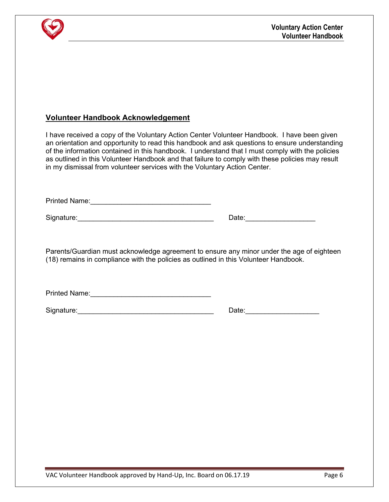

## **Volunteer Handbook Acknowledgement**

I have received a copy of the Voluntary Action Center Volunteer Handbook. I have been given an orientation and opportunity to read this handbook and ask questions to ensure understanding of the information contained in this handbook. I understand that I must comply with the policies as outlined in this Volunteer Handbook and that failure to comply with these policies may result in my dismissal from volunteer services with the Voluntary Action Center.

Printed Name:\_\_\_\_\_\_\_\_\_\_\_\_\_\_\_\_\_\_\_\_\_\_\_\_\_\_\_\_\_\_\_

| Signature: |  |  |  |  |  |  |
|------------|--|--|--|--|--|--|
|            |  |  |  |  |  |  |

Date:  $\Box$ 

Parents/Guardian must acknowledge agreement to ensure any minor under the age of eighteen (18) remains in compliance with the policies as outlined in this Volunteer Handbook.

Printed Name:

Signature:\_\_\_\_\_\_\_\_\_\_\_\_\_\_\_\_\_\_\_\_\_\_\_\_\_\_\_\_\_\_\_\_\_\_\_ Date:\_\_\_\_\_\_\_\_\_\_\_\_\_\_\_\_\_\_\_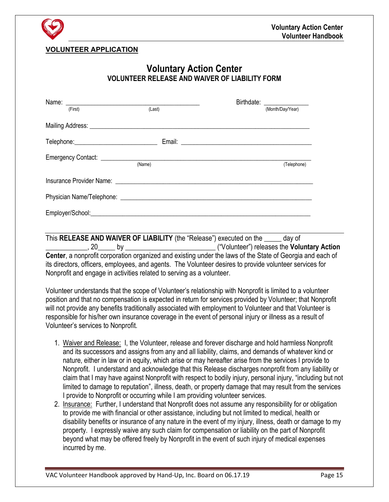

## **VOLUNTEER APPLICATION**

## **Voluntary Action Center VOLUNTEER RELEASE AND WAIVER OF LIABILITY FORM**

|                                              |        | Birthdate:<br><u> 1986 - Jan Samuel II, primeira e</u> |
|----------------------------------------------|--------|--------------------------------------------------------|
| (First)                                      | (Last) | (Month/Day/Year)                                       |
|                                              |        |                                                        |
| Telephone: _________________________________ |        |                                                        |
|                                              | (Name) | (Telephone)                                            |
|                                              |        |                                                        |
|                                              |        |                                                        |
|                                              |        |                                                        |

This **RELEASE AND WAIVER OF LIABILITY** (the "Release") executed on the \_\_\_\_\_ day of \_\_\_\_\_\_\_\_\_\_\_\_, 20\_\_\_\_\_ by \_\_\_\_\_\_\_\_\_\_\_\_\_\_\_\_\_\_\_\_\_\_\_\_\_\_ ("Volunteer") releases the **Voluntary Action Center**, a nonprofit corporation organized and existing under the laws of the State of Georgia and each of its directors, officers, employees, and agents. The Volunteer desires to provide volunteer services for Nonprofit and engage in activities related to serving as a volunteer.

Volunteer understands that the scope of Volunteer's relationship with Nonprofit is limited to a volunteer position and that no compensation is expected in return for services provided by Volunteer; that Nonprofit will not provide any benefits traditionally associated with employment to Volunteer and that Volunteer is responsible for his/her own insurance coverage in the event of personal injury or illness as a result of Volunteer's services to Nonprofit.

- 1. Waiver and Release: I, the Volunteer, release and forever discharge and hold harmless Nonprofit and its successors and assigns from any and all liability, claims, and demands of whatever kind or nature, either in law or in equity, which arise or may hereafter arise from the services I provide to Nonprofit. I understand and acknowledge that this Release discharges nonprofit from any liability or claim that I may have against Nonprofit with respect to bodily injury, personal injury, "including but not limited to damage to reputation", illness, death, or property damage that may result from the services I provide to Nonprofit or occurring while I am providing volunteer services.
- 2. Insurance: Further, I understand that Nonprofit does not assume any responsibility for or obligation to provide me with financial or other assistance, including but not limited to medical, health or disability benefits or insurance of any nature in the event of my injury, illness, death or damage to my property. I expressly waive any such claim for compensation or liability on the part of Nonprofit beyond what may be offered freely by Nonprofit in the event of such injury of medical expenses incurred by me.